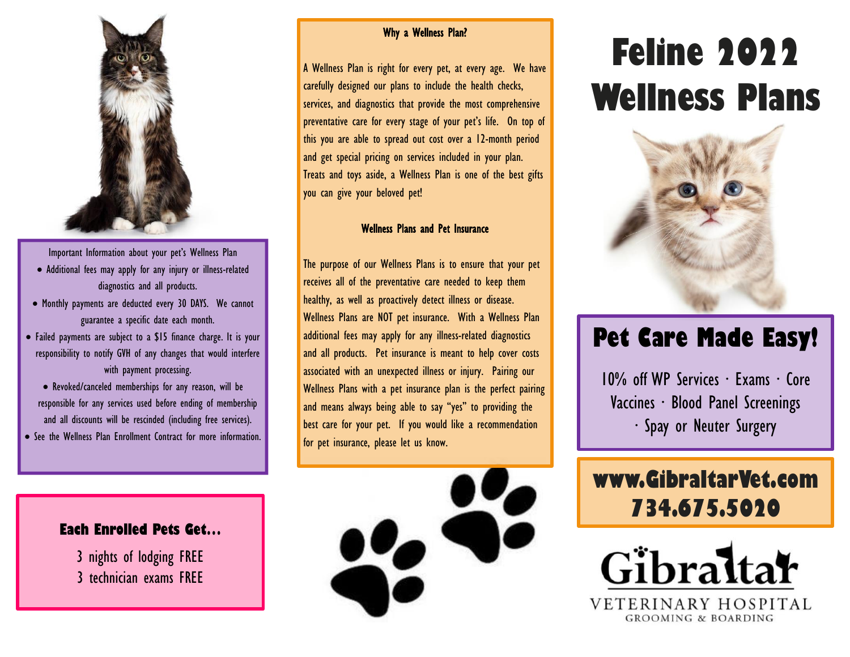

Important Information about your pet's Wellness Plan

- Additional fees may apply for any injury or illness-related diagnostics and all products.
- Monthly payments are deducted every 30 DAYS. We cannot guarantee a specific date each month.
- Failed payments are subject to a \$15 finance charge. It is your responsibility to notify GVH of any changes that would interfere with payment processing.
- Revoked/canceled memberships for any reason, will be responsible for any services used before ending of membership and all discounts will be rescinded (including free services). • See the Wellness Plan Enrollment Contract for more information.

#### Why a Wellness Plan?

A Wellness Plan is right for every pet, at every age. We have carefully designed our plans to include the health checks, services, and diagnostics that provide the most comprehensive preventative care for every stage of your pet's life. On top of this you are able to spread out cost over a 12-month period and get special pricing on services included in your plan. Treats and toys aside, a Wellness Plan is one of the best gifts you can give your beloved pet!

#### Wellness Plans and Pet Insurance

The purpose of our Wellness Plans is to ensure that your pet receives all of the preventative care needed to keep them healthy, as well as proactively detect illness or disease. Wellness Plans are NOT pet insurance. With a Wellness Plan additional fees may apply for any illness-related diagnostics and all products. Pet insurance is meant to help cover costs associated with an unexpected illness or injury. Pairing our Wellness Plans with a pet insurance plan is the perfect pairing and means always being able to say "yes" to providing the best care for your pet. If you would like a recommendation for pet insurance, please let us know.



# **Feline 2022 Wellness Plans**



# **Pet Care Made Easy!**

10% off WP Services ∙ Exams ∙ Core Vaccines ∙ Blood Panel Screenings ∙ Spay or Neuter Surgery

# **www.GibraltarVet.com 734.675.5020**



#### **Each Enrolled Pets Get…**

3 nights of lodging FREE 3 technician exams FREE